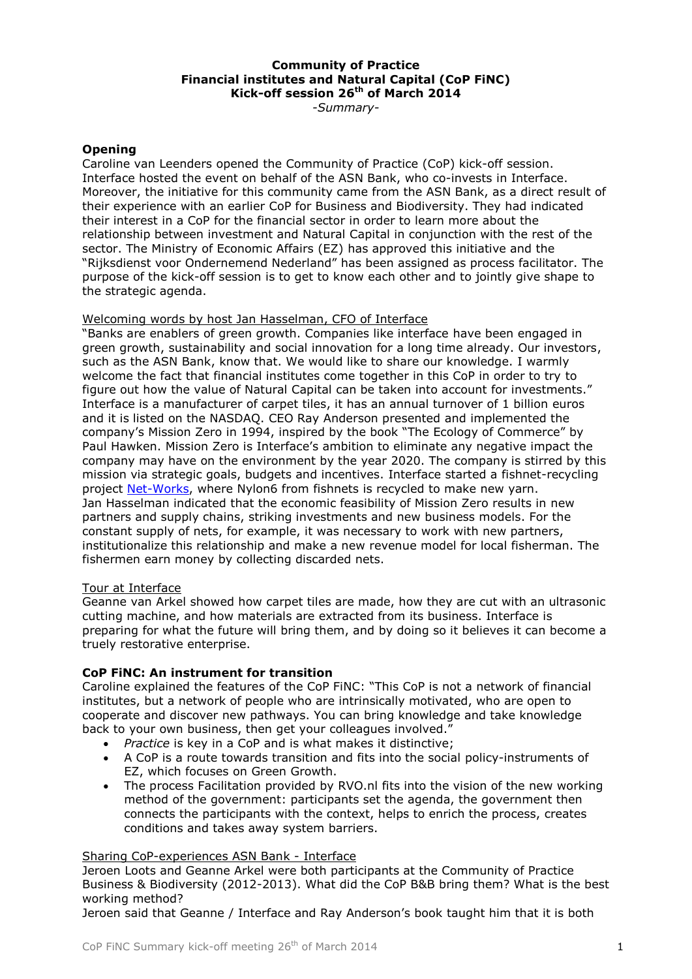#### **Community of Practice Financial institutes and Natural Capital (CoP FiNC) Kick-off session 26th of March 2014**

*-Summary-*

# **Opening**

Caroline van Leenders opened the Community of Practice (CoP) kick-off session. Interface hosted the event on behalf of the ASN Bank, who co-invests in Interface. Moreover, the initiative for this community came from the ASN Bank, as a direct result of their experience with an earlier CoP for Business and Biodiversity. They had indicated their interest in a CoP for the financial sector in order to learn more about the relationship between investment and Natural Capital in conjunction with the rest of the sector. The Ministry of Economic Affairs (EZ) has approved this initiative and the "Rijksdienst voor Ondernemend Nederland" has been assigned as process facilitator. The purpose of the kick-off session is to get to know each other and to jointly give shape to the strategic agenda.

#### Welcoming words by host Jan Hasselman, CFO of Interface

"Banks are enablers of green growth. Companies like interface have been engaged in green growth, sustainability and social innovation for a long time already. Our investors, such as the ASN Bank, know that. We would like to share our knowledge. I warmly welcome the fact that financial institutes come together in this CoP in order to try to figure out how the value of Natural Capital can be taken into account for investments." Interface is a manufacturer of carpet tiles, it has an annual turnover of 1 billion euros and it is listed on the NASDAQ. CEO Ray Anderson presented and implemented the company's Mission Zero in 1994, inspired by the book "The Ecology of Commerce" by Paul Hawken. Mission Zero is Interface's ambition to eliminate any negative impact the company may have on the environment by the year 2020. The company is stirred by this mission via strategic goals, budgets and incentives. Interface started a fishnet-recycling project [Net-Works,](http://www.youtube.com/watch?v=2DxFJDUVIyg) where Nylon6 from fishnets is recycled to make new yarn. Jan Hasselman indicated that the economic feasibility of Mission Zero results in new partners and supply chains, striking investments and new business models. For the constant supply of nets, for example, it was necessary to work with new partners, institutionalize this relationship and make a new revenue model for local fisherman. The fishermen earn money by collecting discarded nets.

#### Tour at Interface

Geanne van Arkel showed how carpet tiles are made, how they are cut with an ultrasonic cutting machine, and how materials are extracted from its business. Interface is preparing for what the future will bring them, and by doing so it believes it can become a truely restorative enterprise.

# **CoP FiNC: An instrument for transition**

Caroline explained the features of the CoP FiNC: "This CoP is not a network of financial institutes, but a network of people who are intrinsically motivated, who are open to cooperate and discover new pathways. You can bring knowledge and take knowledge back to your own business, then get your colleagues involved."

- *Practice* is key in a CoP and is what makes it distinctive;
- A CoP is a route towards transition and fits into the social policy-instruments of EZ, which focuses on Green Growth.
- The process Facilitation provided by RVO.nl fits into the vision of the new working method of the government: participants set the agenda, the government then connects the participants with the context, helps to enrich the process, creates conditions and takes away system barriers.

#### Sharing CoP-experiences ASN Bank - Interface

Jeroen Loots and Geanne Arkel were both participants at the Community of Practice Business & Biodiversity (2012-2013). What did the CoP B&B bring them? What is the best working method?

Jeroen said that Geanne / Interface and Ray Anderson's book taught him that it is both